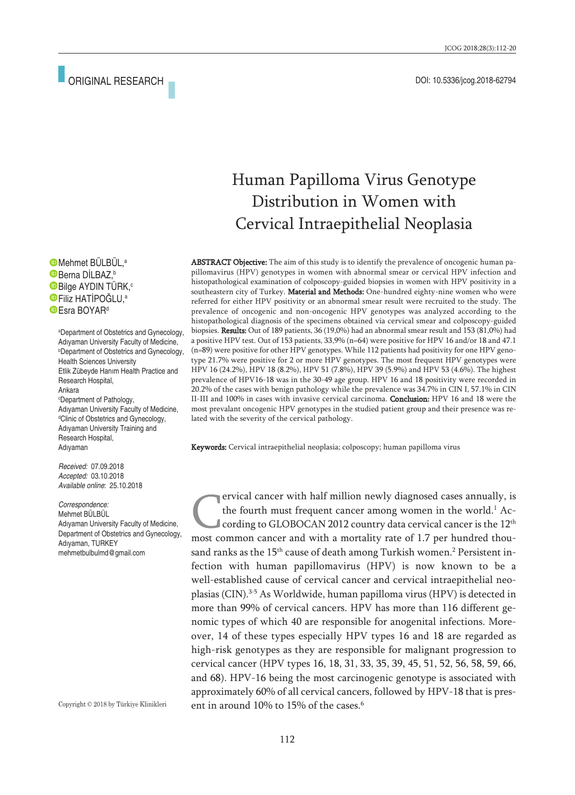# Human Papilloma Virus Genotype Distribution in Women with Cervical Intraepithelial Neoplasia

ABSTRACT Objective: The aim of this study is to identify the prevalence of oncogenic human papillomavirus (HPV) genotypes in women with abnormal smear or cervical HPV infection and histopathological examination of colposcopy-guided biopsies in women with HPV positivity in a southeastern city of Turkey. Material and Methods: One-hundred eighty-nine women who were referred for either HPV positivity or an abnormal smear result were recruited to the study. The prevalence of oncogenic and non-oncogenic HPV genotypes was analyzed according to the histopathological diagnosis of the specimens obtained via cervical smear and colposcopy-guided biopsies. Results: Out of 189 patients, 36 (19,0%) had an abnormal smear result and 153 (81,0%) had a positive HPV test. Out of 153 patients, 33,9% (n=64) were positive for HPV 16 and/or 18 and 47.1 (n=89) were positive for other HPV genotypes. While 112 patients had positivity for one HPV genotype 21.7% were positive for 2 or more HPV genotypes. The most frequent HPV genotypes were HPV 16 (24.2%), HPV 18 (8.2%), HPV 51 (7.8%), HPV 39 (5.9%) and HPV 53 (4.6%). The highest prevalence of HPV16-18 was in the 30-49 age group. HPV 16 and 18 positivity were recorded in 20.2% of the cases with benign pathology while the prevalence was 34.7% in CIN I, 57.1% in CIN II-III and 100% in cases with invasive cervical carcinoma. **Conclusion:** HPV 16 and 18 were the most prevalant oncogenic HPV genotypes in the studied patient group and their presence was related with the severity of the cervical pathology.

Keywords: Cervical intraepithelial neoplasia; colposcopy; human papilloma virus

ervical cancer with half million newly diagnosed cases annually, is the fourth must frequent cancer among women in the world. <sup>1</sup> According to GLOBOCAN 2012 country data cervical cancer is the  $12<sup>th</sup>$ most common cancer and with a mortality rate of 1.7 per hundred thousand ranks as the 15<sup>th</sup> cause of death among Turkish women.<sup>2</sup> Persistent infection with human papillomavirus (HPV) is now known to be a well-established cause of cervical cancer and cervical intraepithelial neoplasias (CIN). 3-5 As Worldwide, human papilloma virus (HPV) is detected in more than 99% of cervical cancers. HPV has more than 116 different genomic types of which 40 are responsible for anogenital infections. Moreover, 14 of these types especially HPV types 16 and 18 are regarded as high-risk genotypes as they are responsible for malignant progression to cervical cancer (HPV types 16, 18, 31, 33, 35, 39, 45, 51, 52, 56, 58, 59, 66, and 68). HPV-16 being the most carcinogenic genotype is associated with approximately 60% of all cervical cancers, followed by HPV-18 that is present in around 10% to 15% of the cases. 6

Mehmet BÜLBÜL, a Berna DİLBAZ, b Bilge AYDIN TÜRK, c Filiz HATİPOĞLU, a **Esra BOYARd** 

a Department of Obstetrics and Gynecology, Adıyaman University Faculty of Medicine, b Department of Obstetrics and Gynecology, Health Sciences University Etlik Zübeyde Hanım Health Practice and Research Hospital, Ankara c Department of Pathology, Adıyaman University Faculty of Medicine, d Clinic of Obstetrics and Gynecology, Adıyaman University Training and Research Hospital, Adıyaman

*Received:* 07.09.2018 *Accepted:* 03.10.2018 *Available online*: 25.10.2018

*Correspondence:* Mehmet BÜLBÜL Adıyaman University Faculty of Medicine, Department of Obstetrics and Gynecology, Adıyaman, TURKEY mehmetbulbulmd@gmail.com

Copyright © 2018 by Türkiye Klinikleri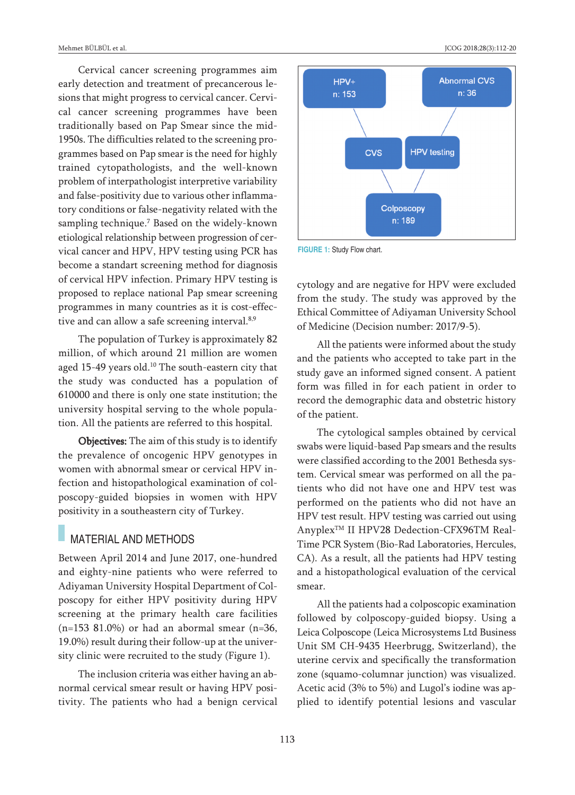Cervical cancer screening programmes aim early detection and treatment of precancerous lesions that might progress to cervical cancer. Cervical cancer screening programmes have been traditionally based on Pap Smear since the mid-1950s. The difficulties related to the screening programmes based on Pap smear is the need for highly trained cytopathologists, and the well-known problem of interpathologist interpretive variability and false-positivity due to various other inflammatory conditions or false-negativity related with the sampling technique. <sup>7</sup> Based on the widely-known etiological relationship between progression of cervical cancer and HPV, HPV testing using PCR has become a standart screening method for diagnosis of cervical HPV infection. Primary HPV testing is proposed to replace national Pap smear screening programmes in many countries as it is cost-effective and can allow a safe screening interval.<sup>8,9</sup>

The population of Turkey is approximately 82 million, of which around 21 million are women aged 15-49 years old. <sup>10</sup> The south-eastern city that the study was conducted has a population of 610000 and there is only one state institution; the university hospital serving to the whole population. All the patients are referred to this hospital.

**Objectives:** The aim of this study is to identify the prevalence of oncogenic HPV genotypes in women with abnormal smear or cervical HPV infection and histopathological examination of colposcopy-guided biopsies in women with HPV positivity in a southeastern city of Turkey.

### MATERIAL AND METHODS

Between April 2014 and June 2017, one-hundred and eighty-nine patients who were referred to Adiyaman University Hospital Department of Colposcopy for either HPV positivity during HPV screening at the primary health care facilities  $(n=153 81.0%)$  or had an abormal smear  $(n=36,$ 19.0%) result during their follow-up at the university clinic were recruited to the study (Figure 1).

The inclusion criteria was either having an abnormal cervical smear result or having HPV positivity. The patients who had a benign cervical



**FIGURE 1:** Study Flow chart.

cytology and are negative for HPV were excluded from the study. The study was approved by the Ethical Committee of Adiyaman University School of Medicine (Decision number: 2017/9-5).

All the patients were informed about the study and the patients who accepted to take part in the study gave an informed signed consent. A patient form was filled in for each patient in order to record the demographic data and obstetric history of the patient.

The cytological samples obtained by cervical swabs were liquid-based Pap smears and the results were classified according to the 2001 Bethesda system. Cervical smear was performed on all the patients who did not have one and HPV test was performed on the patients who did not have an HPV test result. HPV testing was carried out using Anyplex<sup>™</sup> II HPV28 Dedection-CFX96TM Real-Time PCR System (Bio-Rad Laboratories, Hercules, CA). As a result, all the patients had HPV testing and a histopathological evaluation of the cervical smear.

All the patients had a colposcopic examination followed by colposcopy-guided biopsy. Using a Leica Colposcope (Leica Microsystems Ltd Business Unit SM CH-9435 Heerbrugg, Switzerland), the uterine cervix and specifically the transformation zone (squamo-columnar junction) was visualized. Acetic acid (3% to 5%) and Lugol's iodine was applied to identify potential lesions and vascular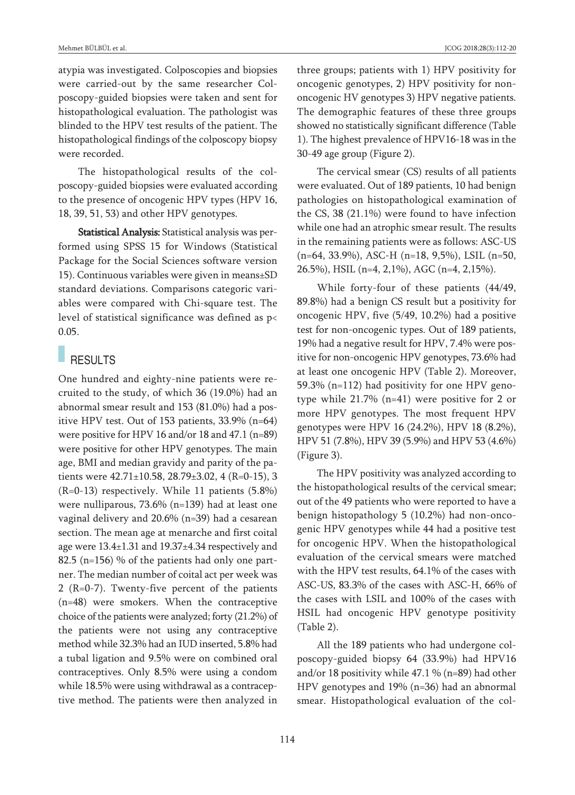atypia was investigated. Colposcopies and biopsies were carried-out by the same researcher Colposcopy-guided biopsies were taken and sent for histopathological evaluation. The pathologist was blinded to the HPV test results of the patient. The histopathological findings of the colposcopy biopsy were recorded.

The histopathological results of the colposcopy-guided biopsies were evaluated according to the presence of oncogenic HPV types (HPV 16, 18, 39, 51, 53) and other HPV genotypes.

Statistical Analysis: Statistical analysis was performed using SPSS 15 for Windows (Statistical Package for the Social Sciences software version 15). Continuous variables were given in means±SD standard deviations. Comparisons categoric variables were compared with Chi-square test. The level of statistical significance was defined as p< 0.05.

## **RESULTS**

One hundred and eighty-nine patients were recruited to the study, of which 36 (19.0%) had an abnormal smear result and 153 (81.0%) had a positive HPV test. Out of 153 patients, 33.9% (n=64) were positive for HPV 16 and/or 18 and 47.1 (n=89) were positive for other HPV genotypes. The main age, BMI and median gravidy and parity of the patients were  $42.71 \pm 10.58$ ,  $28.79 \pm 3.02$ ,  $4$  (R=0-15), 3 (R=0-13) respectively. While 11 patients (5.8%) were nulliparous, 73.6% (n=139) had at least one vaginal delivery and 20.6% (n=39) had a cesarean section. The mean age at menarche and first coital age were 13.4±1.31 and 19.37±4.34 respectively and 82.5 (n=156) % of the patients had only one partner. The median number of coital act per week was 2 (R=0-7). Twenty-five percent of the patients (n=48) were smokers. When the contraceptive choice of the patients were analyzed; forty (21.2%) of the patients were not using any contraceptive method while 32.3% had an IUD inserted, 5.8% had a tubal ligation and 9.5% were on combined oral contraceptives. Only 8.5% were using a condom while 18.5% were using withdrawal as a contraceptive method. The patients were then analyzed in three groups; patients with 1) HPV positivity for oncogenic genotypes, 2) HPV positivity for nononcogenic HV genotypes 3) HPV negative patients. The demographic features of these three groups showed no statistically significant difference (Table 1). The highest prevalence of HPV16-18 was in the 30-49 age group (Figure 2).

The cervical smear (CS) results of all patients were evaluated. Out of 189 patients, 10 had benign pathologies on histopathological examination of the CS, 38 (21.1%) were found to have infection while one had an atrophic smear result. The results in the remaining patients were as follows: ASC-US (n=64, 33.9%), ASC-H (n=18, 9,5%), LSIL (n=50, 26.5%), HSIL (n=4, 2,1%), AGC (n=4, 2,15%).

While forty-four of these patients (44/49, 89.8%) had a benign CS result but a positivity for oncogenic HPV, five (5/49, 10.2%) had a positive test for non-oncogenic types. Out of 189 patients, 19% had a negative result for HPV, 7.4% were positive for non-oncogenic HPV genotypes, 73.6% had at least one oncogenic HPV (Table 2). Moreover, 59.3% (n=112) had positivity for one HPV genotype while 21.7% (n=41) were positive for 2 or more HPV genotypes. The most frequent HPV genotypes were HPV 16 (24.2%), HPV 18 (8.2%), HPV 51 (7.8%), HPV 39 (5.9%) and HPV 53 (4.6%) (Figure 3).

The HPV positivity was analyzed according to the histopathological results of the cervical smear; out of the 49 patients who were reported to have a benign histopathology 5 (10.2%) had non-oncogenic HPV genotypes while 44 had a positive test for oncogenic HPV. When the histopathological evaluation of the cervical smears were matched with the HPV test results, 64.1% of the cases with ASC-US, 83.3% of the cases with ASC-H, 66% of the cases with LSIL and 100% of the cases with HSIL had oncogenic HPV genotype positivity (Table 2).

All the 189 patients who had undergone colposcopy-guided biopsy 64 (33.9%) had HPV16 and/or 18 positivity while 47.1 % (n=89) had other HPV genotypes and 19% (n=36) had an abnormal smear. Histopathological evaluation of the col-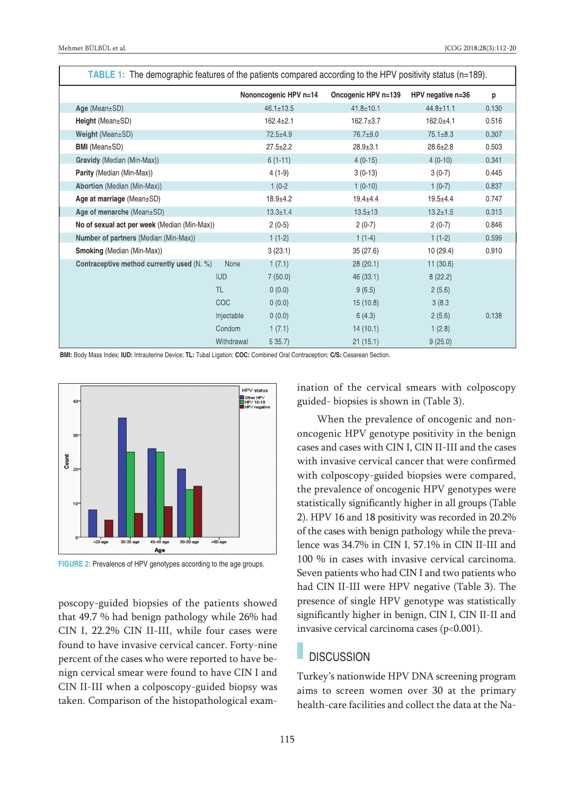| <b>TABLE 1:</b> The demographic features of the patients compared according to the HPV positivity status ( $n=189$ ). |            |                       |                     |                   |       |  |  |
|-----------------------------------------------------------------------------------------------------------------------|------------|-----------------------|---------------------|-------------------|-------|--|--|
|                                                                                                                       |            | Nononcogenic HPV n=14 | Oncogenic HPV n=139 | HPV negative n=36 | p     |  |  |
| Age (Mean±SD)                                                                                                         |            | $46.1 \pm 13.5$       | $41.8 \pm 10.1$     | $44.8 \pm 11.1$   | 0.130 |  |  |
| Height (Mean $\pm$ SD)                                                                                                |            | $162.4 \pm 2.1$       | $162.7 \pm 3.7$     | $162.0 + 4.1$     | 0.516 |  |  |
| Weight (Mean±SD)                                                                                                      |            | $72.5 + 4.9$          | 76.7±9.0            | $75.1 \pm 8.3$    | 0.307 |  |  |
| <b>BMI</b> (Mean±SD)                                                                                                  |            | $27.5 \pm 2.2$        | $28.9 \pm 3.1$      | $28.6 \pm 2.8$    | 0.503 |  |  |
| Gravidy (Median (Min-Max))                                                                                            |            | $6(1-11)$             | $4(0-15)$           | $4(0-10)$         | 0.341 |  |  |
| <b>Parity</b> (Median (Min-Max))                                                                                      |            | $4(1-9)$              | $3(0-13)$           | $3(0-7)$          | 0.445 |  |  |
| <b>Abortion</b> (Median (Min-Max))                                                                                    |            | $1(0-2)$              | $1(0-10)$           | $1(0-7)$          | 0.837 |  |  |
| Age at marriage $(Mean \pm SD)$                                                                                       |            | $18.9 + 4.2$          | $19.4 + 4.4$        | $19.5 \pm 4.4$    | 0.747 |  |  |
| Age of menarche (Mean±SD)                                                                                             |            | $13.3 \pm 1.4$        | $13.5 \pm 13$       | $13.2 \pm 1.5$    | 0.313 |  |  |
| No of sexual act per week (Median (Min-Max))                                                                          |            | $2(0-5)$              | $2(0-7)$            | $2(0-7)$          | 0.846 |  |  |
| Number of partners (Median (Min-Max))                                                                                 |            | $1(1-2)$              | $1(1-4)$            | $1(1-2)$          | 0.599 |  |  |
| <b>Smoking (Median (Min-Max))</b>                                                                                     |            | 3(23.1)               | 35(27.6)            | 10 (29.4)         | 0.910 |  |  |
| Contraceptive method currently used (N. %)                                                                            | None       | 1(7.1)                | 28(20.1)            | 11(30.6)          |       |  |  |
|                                                                                                                       | <b>IUD</b> | 7(50.0)               | 46 (33.1)           | 8(22.2)           |       |  |  |
|                                                                                                                       | <b>TL</b>  | 0(0.0)                | 9(6.5)              | 2(5.6)            |       |  |  |
|                                                                                                                       | <b>COC</b> | 0(0.0)                | 15(10.8)            | 3(8.3)            |       |  |  |
|                                                                                                                       | Injectable | 0(0.0)                | 6(4.3)              | 2(5.6)            | 0.138 |  |  |
|                                                                                                                       | Condom     | 1(7.1)                | 14(10.1)            | 1(2.8)            |       |  |  |
|                                                                                                                       | Withdrawal | 535.7                 | 21(15.1)            | 9(25.0)           |       |  |  |

**BMI:** Body Mass Index; **IUD:** Intrauterine Device; **TL:** Tubal Ligation; **COC:** Combined Oral Contraception; **C/S:** Cesarean Section.





poscopy-guided biopsies of the patients showed that 49.7 % had benign pathology while 26% had CIN I, 22.2% CIN II-III, while four cases were found to have invasive cervical cancer. Forty-nine percent of the cases who were reported to have benign cervical smear were found to have CIN I and CIN II-III when a colposcopy-guided biopsy was taken. Comparison of the histopathological examination of the cervical smears with colposcopy guided- biopsies is shown in (Table 3).

When the prevalence of oncogenic and nononcogenic HPV genotype positivity in the benign cases and cases with CIN I, CIN II-III and the cases with invasive cervical cancer that were confirmed with colposcopy-guided biopsies were compared, the prevalence of oncogenic HPV genotypes were statistically significantly higher in all groups (Table 2). HPV 16 and 18 positivity was recorded in 20.2% of the cases with benign pathology while the prevalence was 34.7% in CIN I, 57.1% in CIN II-III and 100 % in cases with invasive cervical carcinoma. Seven patients who had CIN I and two patients who had CIN II-III were HPV negative (Table 3). The presence of single HPV genotype was statistically significantly higher in benign, CIN I, CIN II-II and invasive cervical carcinoma cases  $(p<0.001)$ .

### **DISCUSSION**

Turkey's nationwide HPV DNA screening program aims to screen women over 30 at the primary health-care facilities and collect the data at the Na-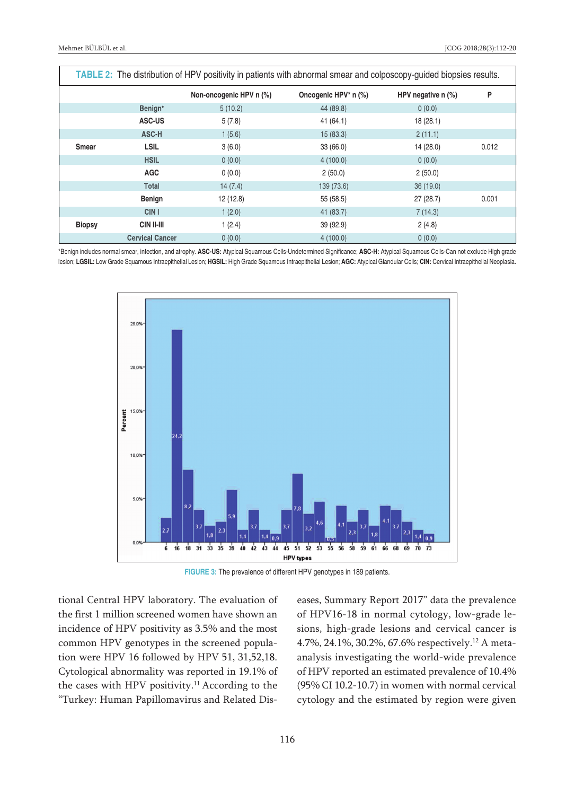| TABLE 2: The distribution of HPV positivity in patients with abnormal smear and colposcopy-guided biopsies results. |                        |                         |                      |                      |       |  |
|---------------------------------------------------------------------------------------------------------------------|------------------------|-------------------------|----------------------|----------------------|-------|--|
|                                                                                                                     |                        | Non-oncogenic HPV n (%) | Oncogenic HPV* n (%) | HPV negative $n$ (%) | P     |  |
|                                                                                                                     | Benign*                | 5(10.2)                 | 44 (89.8)            | 0(0.0)               |       |  |
|                                                                                                                     | ASC-US                 | 5(7.8)                  | 41(64.1)             | 18(28.1)             |       |  |
|                                                                                                                     | ASC-H                  | 1(5.6)                  | 15(83.3)             | 2(11.1)              |       |  |
| <b>Smear</b>                                                                                                        | <b>LSIL</b>            | 3(6.0)                  | 33(66.0)             | 14(28.0)             | 0.012 |  |
|                                                                                                                     | <b>HSIL</b>            | 0(0.0)                  | 4(100.0)             | 0(0.0)               |       |  |
|                                                                                                                     | <b>AGC</b>             | 0(0.0)                  | 2(50.0)              | 2(50.0)              |       |  |
|                                                                                                                     | Total                  | 14(7.4)                 | 139 (73.6)           | 36(19.0)             |       |  |
|                                                                                                                     | <b>Benign</b>          | 12(12.8)                | 55 (58.5)            | 27(28.7)             | 0.001 |  |
|                                                                                                                     | CIN <sub>1</sub>       | 1(2.0)                  | 41 (83.7)            | 7(14.3)              |       |  |
| <b>Biopsy</b>                                                                                                       | CIN II-III             | 1(2.4)                  | 39 (92.9)            | 2(4.8)               |       |  |
|                                                                                                                     | <b>Cervical Cancer</b> | 0(0.0)                  | 4(100.0)             | 0(0.0)               |       |  |

\*Benign includes normal smear, infection, and atrophy. **ASC-US:** Atypical Squamous Cells-Undetermined Significance; **ASC-H:** Atypical Squamous Cells-Can not exclude High grade lesion; **LGSIL:** Low Grade Squamous Intraepithelial Lesion; **HGSIL:** High Grade Squamous Intraepithelial Lesion; **AGC:** Atypical Glandular Cells; **CIN:** Cervical Intraepithelial Neoplasia.



**FIGURE 3:** The prevalence of different HPV genotypes in 189 patients.

tional Central HPV laboratory. The evaluation of the first 1 million screened women have shown an incidence of HPV positivity as 3.5% and the most common HPV genotypes in the screened population were HPV 16 followed by HPV 51, 31,52,18. Cytological abnormality was reported in 19.1% of the cases with HPV positivity. <sup>11</sup> According to the "Turkey: Human Papillomavirus and Related Diseases, Summary Report 2017" data the prevalence of HPV16-18 in normal cytology, low-grade lesions, high-grade lesions and cervical cancer is 4.7%, 24.1%, 30.2%, 67.6% respectively. <sup>12</sup> A metaanalysis investigating the world-wide prevalence of HPV reported an estimated prevalence of 10.4% (95% CI 10.2-10.7) in women with normal cervical cytology and the estimated by region were given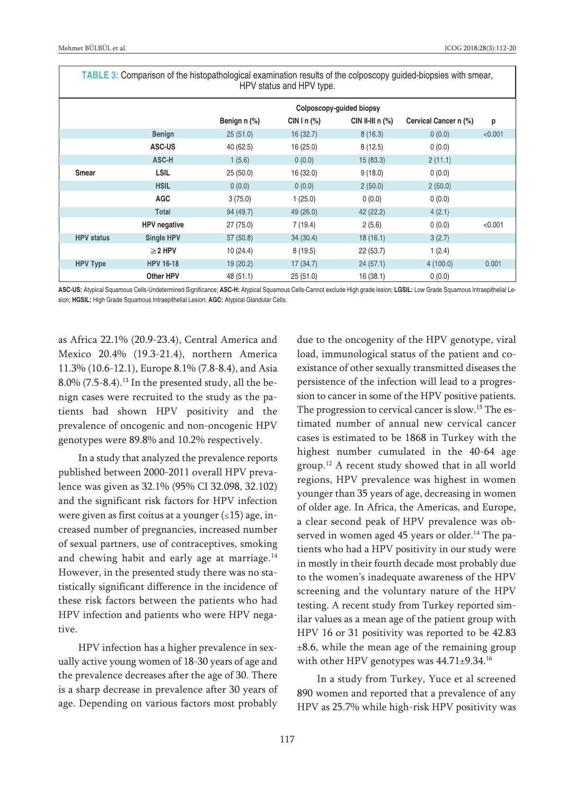| <b>I ADLE 3.</b> Comparison of the mstopathological examination results of the colposcopy guided-biopsies with smear,<br>HPV status and HPV type. |                     |                          |                |                      |                       |         |  |  |
|---------------------------------------------------------------------------------------------------------------------------------------------------|---------------------|--------------------------|----------------|----------------------|-----------------------|---------|--|--|
|                                                                                                                                                   |                     | Colposcopy-guided biopsy |                |                      |                       |         |  |  |
|                                                                                                                                                   |                     | Benign n (%)             | CIN I n $(\%)$ | CIN II-III $n$ $%$ ) | Cervical Cancer n (%) | p       |  |  |
|                                                                                                                                                   | <b>Benign</b>       | 25(51.0)                 | 16(32.7)       | 8(16.3)              | 0(0.0)                | < 0.001 |  |  |
|                                                                                                                                                   | <b>ASC-US</b>       | 40 (62.5)                | 16(25.0)       | 8(12.5)              | 0(0.0)                |         |  |  |
|                                                                                                                                                   | ASC-H               | 1(5.6)                   | 0(0.0)         | 15(83.3)             | 2(11.1)               |         |  |  |
| Smear                                                                                                                                             | <b>LSIL</b>         | 25(50.0)                 | 16 (32.0)      | 9(18.0)              | 0(0.0)                |         |  |  |
|                                                                                                                                                   | <b>HSIL</b>         | 0(0.0)                   | 0(0.0)         | 2(50.0)              | 2(50.0)               |         |  |  |
|                                                                                                                                                   | <b>AGC</b>          | 3(75.0)                  | 1(25.0)        | 0(0.0)               | 0(0.0)                |         |  |  |
|                                                                                                                                                   | Total               | 94 (49.7)                | 49 (26.0)      | 42 (22.2)            | 4(2.1)                |         |  |  |
|                                                                                                                                                   | <b>HPV</b> negative | 27 (75.0)                | 7(19.4)        | 2(5.6)               | 0(0.0)                | < 0.001 |  |  |
| <b>HPV</b> status                                                                                                                                 | Single HPV          | 57(50.8)                 | 34(30.4)       | 18(16.1)             | 3(2.7)                |         |  |  |
|                                                                                                                                                   | $\geq$ 2 HPV        | 10(24.4)                 | 8(19.5)        | 22(53.7)             | 1(2.4)                |         |  |  |
| <b>HPV Type</b>                                                                                                                                   | <b>HPV 16-18</b>    | 19 (20.2)                | 17(34.7)       | 24(57.1)             | 4(100.0)              | 0.001   |  |  |
|                                                                                                                                                   | Other HPV           | 48 (51.1)                | 25(51.0)       | 16 (38.1)            | 0(0.0)                |         |  |  |

**TABLE 3:** Comparison of the histopathological examination results of the colposcopy guided-biopsies with smear,

**ASC-US:** Atypical Squamous Cells-Undetermined Significance; **ASC-H:** Atypical Squamous Cells-Cannot exclude High grade lesion; **LGSIL:** Low Grade Squamous Intraepithelial Lesion; **HGSIL:** High Grade Squamous Intraepithelial Lesion; **AGC:** Atypical Glandular Cells.

as Africa 22.1% (20.9-23.4), Central America and Mexico 20.4% (19.3-21.4), northern America 11.3% (10.6-12.1), Europe 8.1% (7.8-8.4), and Asia 8.0% (7.5-8.4). <sup>13</sup> In the presented study, all the benign cases were recruited to the study as the patients had shown HPV positivity and the prevalence of oncogenic and non-oncogenic HPV genotypes were 89.8% and 10.2% respectively.

In a study that analyzed the prevalence reports published between 2000-2011 overall HPV prevalence was given as 32.1% (95% CI 32.098, 32.102) and the significant risk factors for HPV infection were given as first coitus at a younger  $(\leq 15)$  age, increased number of pregnancies, increased number of sexual partners, use of contraceptives, smoking and chewing habit and early age at marriage.<sup>14</sup> However, in the presented study there was no statistically significant difference in the incidence of these risk factors between the patients who had HPV infection and patients who were HPV negative.

HPV infection has a higher prevalence in sexually active young women of 18-30 years of age and the prevalence decreases after the age of 30. There is a sharp decrease in prevalence after 30 years of age. Depending on various factors most probably due to the oncogenity of the HPV genotype, viral load, immunological status of the patient and coexistance of other sexually transmitted diseases the persistence of the infection will lead to a progression to cancer in some of the HPV positive patients. The progression to cervical cancer is slow.<sup>15</sup> The estimated number of annual new cervical cancer cases is estimated to be 1868 in Turkey with the highest number cumulated in the 40-64 age group. <sup>12</sup> A recent study showed that in all world regions, HPV prevalence was highest in women younger than 35 years of age, decreasing in women of older age. In Africa, the Americas, and Europe, a clear second peak of HPV prevalence was observed in women aged 45 years or older. <sup>14</sup> The patients who had a HPV positivity in our study were in mostly in their fourth decade most probably due to the women's inadequate awareness of the HPV screening and the voluntary nature of the HPV testing. A recent study from Turkey reported similar values as a mean age of the patient group with HPV 16 or 31 positivity was reported to be 42.83  $±8.6$ , while the mean age of the remaining group with other HPV genotypes was 44.71±9.34.<sup>16</sup>

In a study from Turkey, Yuce et al screened 890 women and reported that a prevalence of any HPV as 25.7% while high-risk HPV positivity was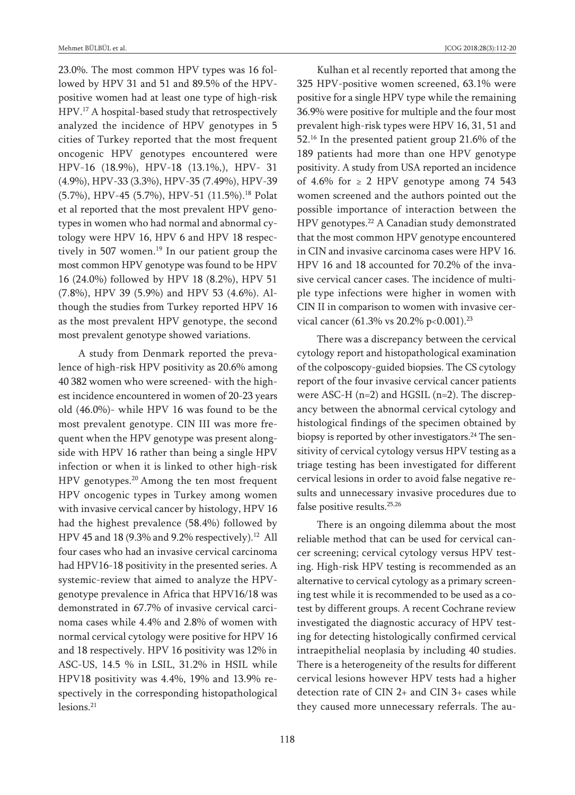23.0%. The most common HPV types was 16 followed by HPV 31 and 51 and 89.5% of the HPVpositive women had at least one type of high-risk HPV. <sup>17</sup> A hospital-based study that retrospectively analyzed the incidence of HPV genotypes in 5 cities of Turkey reported that the most frequent oncogenic HPV genotypes encountered were HPV-16 (18.9%), HPV-18 (13.1%,), HPV- 31 (4.9%), HPV-33 (3.3%), HPV-35 (7.49%), HPV-39 (5.7%), HPV-45 (5.7%), HPV-51 (11.5%). <sup>18</sup> Polat et al reported that the most prevalent HPV genotypes in women who had normal and abnormal cytology were HPV 16, HPV 6 and HPV 18 respectively in 507 women. <sup>19</sup> In our patient group the most common HPV genotype was found to be HPV 16 (24.0%) followed by HPV 18 (8.2%), HPV 51 (7.8%), HPV 39 (5.9%) and HPV 53 (4.6%). Although the studies from Turkey reported HPV 16 as the most prevalent HPV genotype, the second most prevalent genotype showed variations.

A study from Denmark reported the prevalence of high-risk HPV positivity as 20.6% among 40 382 women who were screened- with the highest incidence encountered in women of 20-23 years old (46.0%)- while HPV 16 was found to be the most prevalent genotype. CIN III was more frequent when the HPV genotype was present alongside with HPV 16 rather than being a single HPV infection or when it is linked to other high-risk HPV genotypes. <sup>20</sup> Among the ten most frequent HPV oncogenic types in Turkey among women with invasive cervical cancer by histology, HPV 16 had the highest prevalence (58.4%) followed by HPV 45 and 18 (9.3% and 9.2% respectively). <sup>12</sup> All four cases who had an invasive cervical carcinoma had HPV16-18 positivity in the presented series. A systemic-review that aimed to analyze the HPVgenotype prevalence in Africa that HPV16/18 was demonstrated in 67.7% of invasive cervical carcinoma cases while 4.4% and 2.8% of women with normal cervical cytology were positive for HPV 16 and 18 respectively. HPV 16 positivity was 12% in ASC-US, 14.5 % in LSIL, 31.2% in HSIL while HPV18 positivity was 4.4%, 19% and 13.9% respectively in the corresponding histopathological lesions. 21

Kulhan et al recently reported that among the 325 HPV-positive women screened, 63.1% were

positive for a single HPV type while the remaining 36.9% were positive for multiple and the four most prevalent high-risk types were HPV 16, 31, 51 and 52. <sup>16</sup> In the presented patient group 21.6% of the 189 patients had more than one HPV genotype positivity. A study from USA reported an incidence of 4.6% for  $\geq$  2 HPV genotype among 74 543 women screened and the authors pointed out the possible importance of interaction between the HPV genotypes. <sup>22</sup> A Canadian study demonstrated that the most common HPV genotype encountered in CIN and invasive carcinoma cases were HPV 16. HPV 16 and 18 accounted for 70.2% of the invasive cervical cancer cases. The incidence of multiple type infections were higher in women with CIN II in comparison to women with invasive cervical cancer (61.3% vs 20.2% p<0.001).<sup>23</sup>

There was a discrepancy between the cervical cytology report and histopathological examination of the colposcopy-guided biopsies. The CS cytology report of the four invasive cervical cancer patients were ASC-H (n=2) and HGSIL (n=2). The discrepancy between the abnormal cervical cytology and histological findings of the specimen obtained by biopsy is reported by other investigators. <sup>24</sup> The sensitivity of cervical cytology versus HPV testing as a triage testing has been investigated for different cervical lesions in order to avoid false negative results and unnecessary invasive procedures due to false positive results. 25,26

There is an ongoing dilemma about the most reliable method that can be used for cervical cancer screening; cervical cytology versus HPV testing. High-risk HPV testing is recommended as an alternative to cervical cytology as a primary screening test while it is recommended to be used as a cotest by different groups. A recent Cochrane review investigated the diagnostic accuracy of HPV testing for detecting histologically confirmed cervical intraepithelial neoplasia by including 40 studies. There is a heterogeneity of the results for different cervical lesions however HPV tests had a higher detection rate of CIN 2+ and CIN 3+ cases while they caused more unnecessary referrals. The au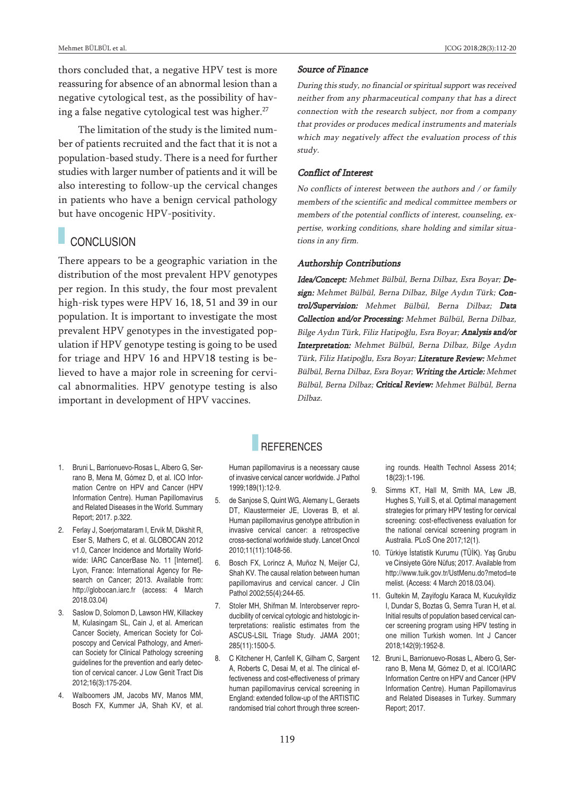thors concluded that, a negative HPV test is more reassuring for absence of an abnormal lesion than a negative cytological test, as the possibility of having a false negative cytological test was higher. 27

The limitation of the study is the limited number of patients recruited and the fact that it is not a population-based study. There is a need for further studies with larger number of patients and it will be also interesting to follow-up the cervical changes in patients who have a benign cervical pathology but have oncogenic HPV-positivity.

# CONCLUSION

There appears to be a geographic variation in the distribution of the most prevalent HPV genotypes per region. In this study, the four most prevalent high-risk types were HPV 16, 18, 51 and 39 in our population. It is important to investigate the most prevalent HPV genotypes in the investigated population if HPV genotype testing is going to be used for triage and HPV 16 and HPV18 testing is believed to have a major role in screening for cervical abnormalities. HPV genotype testing is also important in development of HPV vaccines.

### Source of Finance

During this study, no financial or spiritual support was received neither from any pharmaceutical company that has <sup>a</sup> direct connection with the research subject, nor from <sup>a</sup> company that provides or produces medical instruments and materials which may negatively affect the evaluation process of this study.

#### Conflict of Interest

No conflicts of interest between the authors and / or family members of the scientific and medical committee members or members of the potential conflicts of interest, counseling, expertise, working conditions, share holding and similar situations in any firm.

#### Authorship Contributions

Idea/Concept: Mehmet Bülbül, Berna Dilbaz, Esra Boyar; Design: Mehmet Bülbül, Berna Dilbaz, Bilge Aydın Türk; Control/Supervision: Mehmet Bülbül, Berna Dilbaz; Data Collection and/or Processing: Mehmet Bülbül, Berna Dilbaz, Bilge Aydın Türk, Filiz Hatipoğlu, Esra Boyar; Analysis and/or Interpretation: Mehmet Bülbül, Berna Dilbaz, Bilge Aydın Türk, Filiz Hatipoğlu, Esra Boyar; Literature Review: Mehmet Bülbül, Berna Dilbaz, Esra Boyar; Writing the Article: Mehmet Bülbül, Berna Dilbaz; Critical Review: Mehmet Bülbül, Berna Dilbaz.

# **REFERENCES**

Human papillomavirus is <sup>a</sup> necessary cause of invasive cervical cancer worldwide. J Pathol 1999;189(1):12-9.

- 5. de Sanjose S, Quint WG, Alemany L, Geraets DT, Klaustermeier JE, Lloveras B, et al. Human papillomavirus genotype attribution in invasive cervical cancer: <sup>a</sup> retrospective cross-sectional worldwide study. Lancet Oncol 2010;11(11):1048-56.
- 6. Bosch FX, Lorincz A, Muñoz N, Meijer CJ, Shah KV. The causal relation between human papillomavirus and cervical cancer. J Clin Pathol 2002;55(4):244-65.
- 7. Stoler MH, Shifman M. Interobserver reproducibility of cervical cytologic and histologic interpretations: realistic estimates from the ASCUS-LSIL Triage Study. JAMA 2001; 285(11):1500-5.
- 8. C Kitchener H, Canfell K, Gilham C, Sargent A, Roberts C, Desai M, et al. The clinical effectiveness and cost-effectiveness of primary human papillomavirus cervical screening in England: extended follow-up of the ARTISTIC randomised trial cohort through three screen-

ing rounds. Health Technol Assess 2014; 18(23):1-196.

- 9. Simms KT, Hall M, Smith MA, Lew JB, Hughes S, Yuill S, et al. Optimal management strategies for primary HPV testing for cervical screening: cost-effectiveness evaluation for the national cervical screening program in Australia. PLoS One 2017;12(1).
- 10. Türkiye İstatistik Kurumu (TÜİK). Yaş Grubu ve Cinsiyete Göre Nüfus; 2017. Available from http://www.tuik.gov.tr/UstMenu.do?metod=te melist. (Access: 4 March 2018.03.04).
- 11. Gultekin M, Zayifoglu Karaca M, Kucukyildiz I, Dundar S, Boztas G, Semra Turan H, et al. Initial results of population based cervical cancer screening program using HPV testing in one million Turkish women. Int J Cancer 2018;142(9):1952-8.
- 12. Bruni L, Barrionuevo-Rosas L, Albero G, Serrano B, Mena M, Gómez D, et al. ICO/IARC Information Centre on HPV and Cancer (HPV Information Centre). Human Papillomavirus and Related Diseases in Turkey. Summary Report; 2017.
- 1. Bruni L, Barrionuevo-Rosas L, Albero G, Serrano B, Mena M, Gómez D, et al. ICO Information Centre on HPV and Cancer (HPV Information Centre). Human Papillomavirus and Related Diseases in the World. Summary Report; 2017. p.322.
- 2. Ferlay J, Soerjomataram I, Ervik M, Dikshit R, Eser S, Mathers C, et al. GLOBOCAN 2012 v1.0, Cancer Incidence and Mortality Worldwide: IARC CancerBase No. 11 [Internet]. Lyon, France: International Agency for Research on Cancer; 2013. Available from: http://globocan.iarc.fr (access: 4 March 2018.03.04)
- 3. Saslow D, Solomon D, Lawson HW, Killackey M, Kulasingam SL, Cain J, et al. American Cancer Society, American Society for Colposcopy and Cervical Pathology, and American Society for Clinical Pathology screening guidelines for the prevention and early detection of cervical cancer. J Low Genit Tract Dis 2012;16(3):175-204.
- 4. Walboomers JM, Jacobs MV, Manos MM, Bosch FX, Kummer JA, Shah KV, et al.